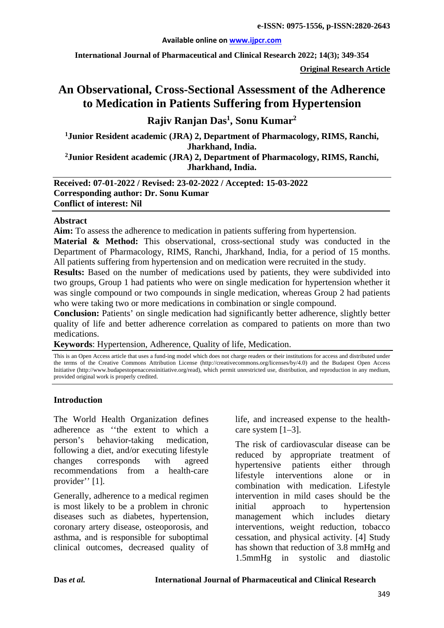#### **Available online on [www.ijpcr.com](http://www.ijpcr.com/)**

**International Journal of Pharmaceutical and Clinical Research 2022; 14(3); 349-354**

**Original Research Article**

# **An Observational, Cross-Sectional Assessment of the Adherence to Medication in Patients Suffering from Hypertension**

**Rajiv Ranjan Das1 , Sonu Kumar2**

**1Junior Resident academic (JRA) 2, Department of Pharmacology, RIMS, Ranchi, Jharkhand, India.**

**2Junior Resident academic (JRA) 2, Department of Pharmacology, RIMS, Ranchi, Jharkhand, India.**

**Received: 07-01-2022 / Revised: 23-02-2022 / Accepted: 15-03-2022 Corresponding author: Dr. Sonu Kumar Conflict of interest: Nil**

#### **Abstract**

**Aim:** To assess the adherence to medication in patients suffering from hypertension.

**Material & Method:** This observational, cross-sectional study was conducted in the Department of Pharmacology, RIMS, Ranchi, Jharkhand, India, for a period of 15 months. All patients suffering from hypertension and on medication were recruited in the study.

**Results:** Based on the number of medications used by patients, they were subdivided into two groups, Group 1 had patients who were on single medication for hypertension whether it was single compound or two compounds in single medication, whereas Group 2 had patients who were taking two or more medications in combination or single compound.

**Conclusion:** Patients' on single medication had significantly better adherence, slightly better quality of life and better adherence correlation as compared to patients on more than two medications.

**Keywords**: Hypertension, Adherence, Quality of life, Medication.

This is an Open Access article that uses a fund-ing model which does not charge readers or their institutions for access and distributed under the terms of the Creative Commons Attribution License (http://creativecommons.org/licenses/by/4.0) and the Budapest Open Access Initiative (http://www.budapestopenaccessinitiative.org/read), which permit unrestricted use, distribution, and reproduction in any medium, provided original work is properly credited.

### **Introduction**

The World Health Organization defines adherence as ''the extent to which a person's behavior-taking medication, following a diet, and/or executing lifestyle changes corresponds with agreed recommendations from a health-care provider'' [1].

Generally, adherence to a medical regimen is most likely to be a problem in chronic diseases such as diabetes, hypertension, coronary artery disease, osteoporosis, and asthma, and is responsible for suboptimal clinical outcomes, decreased quality of life, and increased expense to the healthcare system [1–3].

The risk of cardiovascular disease can be reduced by appropriate treatment of hypertensive patients either through lifestyle interventions alone or in combination with medication. Lifestyle intervention in mild cases should be the initial approach to hypertension management which includes dietary interventions, weight reduction, tobacco cessation, and physical activity. [4] Study has shown that reduction of 3.8 mmHg and 1.5mmHg in systolic and diastolic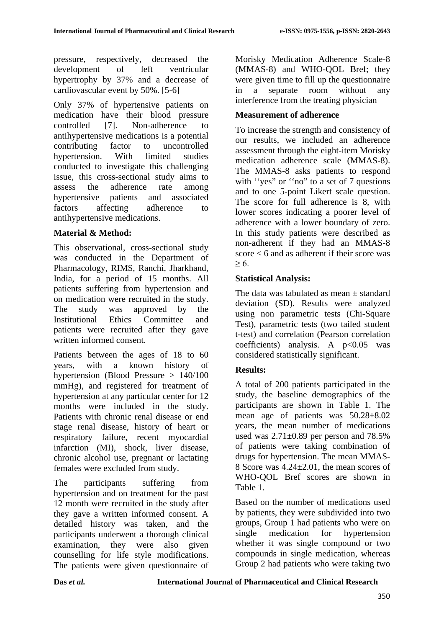pressure, respectively, decreased the development of left ventricular hypertrophy by 37% and a decrease of cardiovascular event by 50%. [5-6]

Only 37% of hypertensive patients on medication have their blood pressure controlled [7]. Non-adherence to antihypertensive medications is a potential contributing factor to uncontrolled hypertension. With limited studies conducted to investigate this challenging issue, this cross-sectional study aims to assess the adherence rate among hypertensive patients and associated factors affecting adherence to antihypertensive medications.

# **Material & Method:**

This observational, cross-sectional study was conducted in the Department of Pharmacology, RIMS, Ranchi, Jharkhand, India, for a period of 15 months. All patients suffering from hypertension and on medication were recruited in the study. The study was approved by the Institutional Ethics Committee and patients were recruited after they gave written informed consent.

Patients between the ages of 18 to 60 years, with a known history of hypertension (Blood Pressure > 140/100 mmHg), and registered for treatment of hypertension at any particular center for 12 months were included in the study. Patients with chronic renal disease or end stage renal disease, history of heart or respiratory failure, recent myocardial infarction (MI), shock, liver disease, chronic alcohol use, pregnant or lactating females were excluded from study.

The participants suffering from hypertension and on treatment for the past 12 month were recruited in the study after they gave a written informed consent. A detailed history was taken, and the participants underwent a thorough clinical examination, they were also given counselling for life style modifications. The patients were given questionnaire of Morisky Medication Adherence Scale-8 (MMAS-8) and WHO-QOL Bref; they were given time to fill up the questionnaire in a separate room without any interference from the treating physician

## **Measurement of adherence**

To increase the strength and consistency of our results, we included an adherence assessment through the eight-item Morisky medication adherence scale (MMAS-8). The MMAS-8 asks patients to respond with "yes" or "no" to a set of 7 questions and to one 5-point Likert scale question. The score for full adherence is 8, with lower scores indicating a poorer level of adherence with a lower boundary of zero. In this study patients were described as non-adherent if they had an MMAS-8 score < 6 and as adherent if their score was  $> 6.$ 

## **Statistical Analysis:**

The data was tabulated as mean  $\pm$  standard deviation (SD). Results were analyzed using non parametric tests (Chi-Square Test), parametric tests (two tailed student t-test) and correlation (Pearson correlation coefficients) analysis. A  $p<0.05$  was considered statistically significant.

# **Results:**

A total of 200 patients participated in the study, the baseline demographics of the participants are shown in Table 1. The mean age of patients was 50.28±8.02 years, the mean number of medications used was 2.71±0.89 per person and 78.5% of patients were taking combination of drugs for hypertension. The mean MMAS-8 Score was 4.24±2.01, the mean scores of WHO-QOL Bref scores are shown in Table 1.

Based on the number of medications used by patients, they were subdivided into two groups, Group 1 had patients who were on single medication for hypertension whether it was single compound or two compounds in single medication, whereas Group 2 had patients who were taking two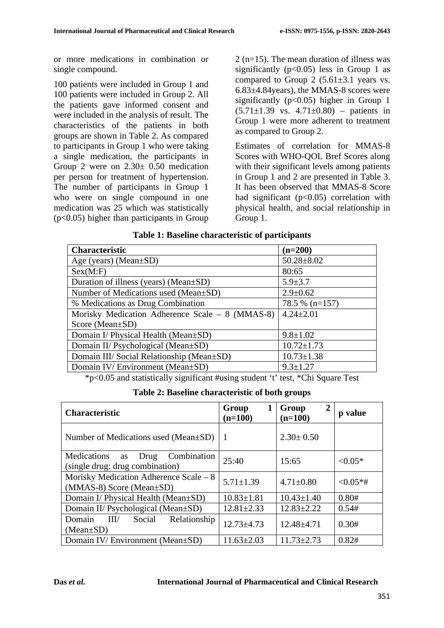or more medications in combination or single compound.

100 patients were included in Group 1 and 100 patients were included in Group 2. All the patients gave informed consent and were included in the analysis of result. The characteristics of the patients in both groups are shown in Table 2. As compared to participants in Group 1 who were taking a single medication, the participants in Group 2 were on  $2.30 \pm 0.50$  medication per person for treatment of hypertension. The number of participants in Group 1 who were on single compound in one medication was 25 which was statistically (p<0.05) higher than participants in Group

2 (n=15). The mean duration of illness was significantly ( $p<0.05$ ) less in Group 1 as compared to Group 2  $(5.61 \pm 3.1)$  years vs. 6.83±4.84years), the MMAS-8 scores were significantly ( $p<0.05$ ) higher in Group 1  $(5.71 \pm 1.39 \text{ vs. } 4.71 \pm 0.80) - \text{ patients in}$ Group 1 were more adherent to treatment as compared to Group 2.

Estimates of correlation for MMAS-8 Scores with WHO-QOL Bref Scores along with their significant levels among patients in Group 1 and 2 are presented in Table 3. It has been observed that MMAS-8 Score had significant  $(p<0.05)$  correlation with physical health, and social relationship in Group 1.

#### **Table 1: Baseline characteristic of participants**

| <b>Characteristic</b>                             | $(n=200)$        |
|---------------------------------------------------|------------------|
| Age (years) (Mean±SD)                             | $50.28 + 8.02$   |
| Sex(M: F)                                         | 80:65            |
| Duration of illness (years) (Mean±SD)             | $5.9 \pm 3.7$    |
| Number of Medications used (Mean±SD)              | $2.9 \pm 0.62$   |
| % Medications as Drug Combination                 | 78.5 % (n=157)   |
| Morisky Medication Adherence Scale $- 8$ (MMAS-8) | $4.24 \pm 2.01$  |
| Score (Mean $\pm$ SD)                             |                  |
| Domain I/ Physical Health (Mean±SD)               | $9.8 \pm 1.02$   |
| Domain II/ Psychological (Mean±SD)                | $10.72 \pm 1.73$ |
| Domain III/ Social Relationship (Mean±SD)         | $10.73 \pm 1.38$ |
| Domain IV/Environment (Mean±SD)                   | $9.3 \pm 1.27$   |

\*p<0.05 and statistically significant #using student 't' test, \*Chi Square Test

**Table 2: Baseline characteristic of both groups**

| <b>Characteristic</b>                                                       | 1<br>Group<br>$(n=100)$ | $\overline{2}$<br>Group<br>$(n=100)$ | p value     |
|-----------------------------------------------------------------------------|-------------------------|--------------------------------------|-------------|
| Number of Medications used (Mean±SD)                                        | 1                       | $2.30 \pm 0.50$                      |             |
| Combination<br>Medications<br>Drug<br>as<br>(single drug: drug combination) | 25:40                   | 15:65                                | $< 0.05*$   |
| Morisky Medication Adherence Scale – 8<br>(MMAS-8) Score (Mean±SD)          | $5.71 \pm 1.39$         | $4.71 \pm 0.80$                      | $< 0.05*$ # |
| Domain I/ Physical Health (Mean±SD)                                         | $10.83 \pm 1.81$        | $10.43 \pm 1.40$                     | 0.80#       |
| Domain II/ Psychological (Mean±SD)                                          | $12.81 \pm 2.33$        | $12.83 \pm 2.22$                     | 0.54#       |
| Relationship<br>$\rm III/$<br>Domain<br>Social<br>$(Mean \pm SD)$           | $12.73 + 4.73$          | $12.48 \pm 4.71$                     | 0.30#       |
| Domain IV/Environment (Mean±SD)                                             | $11.63 \pm 2.03$        | $11.73 \pm 2.73$                     | 0.82#       |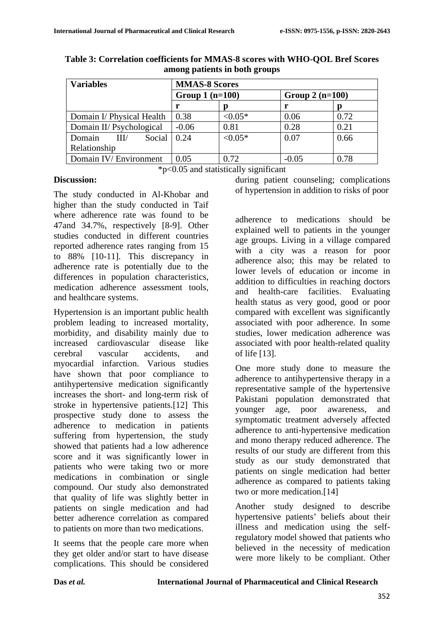| <b>Variables</b>          | <b>MMAS-8 Scores</b> |           |                  |      |  |
|---------------------------|----------------------|-----------|------------------|------|--|
|                           | Group $1(n=100)$     |           | Group $2(n=100)$ |      |  |
|                           |                      |           | r                |      |  |
| Domain I/ Physical Health | 0.38                 | $< 0.05*$ | 0.06             | 0.72 |  |
| Domain II/ Psychological  | $-0.06$              | 0.81      | 0.28             | 0.21 |  |
| Domain<br>III/<br>Social  | 0.24                 | $< 0.05*$ | 0.07             | 0.66 |  |
| Relationship              |                      |           |                  |      |  |
| Domain IV/Environment     | 0.05                 | 0.72      | $-0.05$          | 0.78 |  |

**Table 3: Correlation coefficients for MMAS-8 scores with WHO-QOL Bref Scores among patients in both groups**

\*p<0.05 and statistically significant

#### **Discussion:**

The study conducted in Al-Khobar and higher than the study conducted in Taif where adherence rate was found to be 47and 34.7%, respectively [8-9]. Other studies conducted in different countries reported adherence rates ranging from 15 to 88% [10-11]. This discrepancy in adherence rate is potentially due to the differences in population characteristics, medication adherence assessment tools, and healthcare systems.

Hypertension is an important public health problem leading to increased mortality, morbidity, and disability mainly due to increased cardiovascular disease like cerebral vascular accidents, and myocardial infarction. Various studies have shown that poor compliance to antihypertensive medication significantly increases the short- and long-term risk of stroke in hypertensive patients.[12] This prospective study done to assess the adherence to medication in patients suffering from hypertension, the study showed that patients had a low adherence score and it was significantly lower in patients who were taking two or more medications in combination or single compound. Our study also demonstrated that quality of life was slightly better in patients on single medication and had better adherence correlation as compared to patients on more than two medications.

It seems that the people care more when they get older and/or start to have disease complications. This should be considered during patient counseling; complications of hypertension in addition to risks of poor

adherence to medications should be explained well to patients in the younger age groups. Living in a village compared with a city was a reason for poor adherence also; this may be related to lower levels of education or income in addition to difficulties in reaching doctors and health-care facilities. Evaluating health status as very good, good or poor compared with excellent was significantly associated with poor adherence. In some studies, lower medication adherence was associated with poor health-related quality of life [13].

One more study done to measure the adherence to antihypertensive therapy in a representative sample of the hypertensive Pakistani population demonstrated that younger age, poor awareness, and symptomatic treatment adversely affected adherence to anti-hypertensive medication and mono therapy reduced adherence. The results of our study are different from this study as our study demonstrated that patients on single medication had better adherence as compared to patients taking two or more medication.[14]

Another study designed to describe hypertensive patients' beliefs about their illness and medication using the selfregulatory model showed that patients who believed in the necessity of medication were more likely to be compliant. Other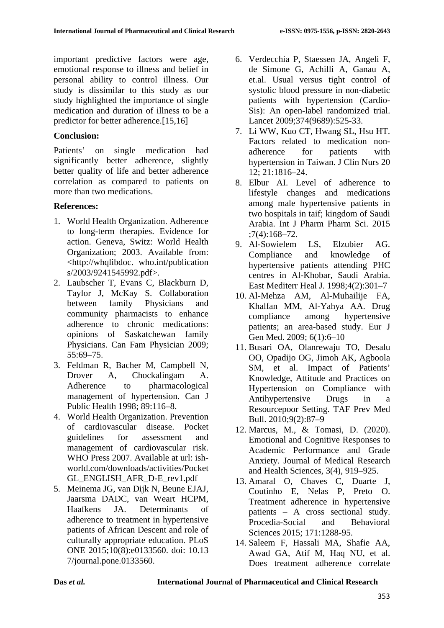important predictive factors were age, emotional response to illness and belief in personal ability to control illness. Our study is dissimilar to this study as our study highlighted the importance of single medication and duration of illness to be a predictor for better adherence.[15,16]

#### **Conclusion:**

Patients' on single medication had significantly better adherence, slightly better quality of life and better adherence correlation as compared to patients on more than two medications.

### **References:**

- 1. World Health Organization. Adherence to long-term therapies. Evidence for action. Geneva, Switz: World Health Organization; 2003. Available from: <http://whqlibdoc. who.int/publication s/2003/9241545992.pdf>.
- 2. Laubscher T, Evans C, Blackburn D, Taylor J, McKay S. Collaboration between family Physicians and community pharmacists to enhance adherence to chronic medications: opinions of Saskatchewan family Physicians. Can Fam Physician 2009; 55:69–75.
- 3. Feldman R, Bacher M, Campbell N, Drover A, Chockalingam A. Adherence to pharmacological management of hypertension. Can J Public Health 1998; 89:116–8.
- 4. World Health Organization. Prevention of cardiovascular disease. Pocket guidelines for assessment and management of cardiovascular risk. WHO Press 2007. Available at url: ishworld.com/downloads/activities/Pocket GL\_ENGLISH\_AFR\_D-E\_rev1.pdf
- 5. Meinema JG, van Dijk N, Beune EJAJ, Jaarsma DADC, van Weart HCPM, Haafkens JA. Determinants of adherence to treatment in hypertensive patients of African Descent and role of culturally appropriate education. PLoS ONE 2015;10(8):e0133560. doi: 10.13 7/journal.pone.0133560.
- 6. Verdecchia P, Staessen JA, Angeli F, de Simone G, Achilli A, Ganau A, et.al. Usual versus tight control of systolic blood pressure in non-diabetic patients with hypertension (Cardio-Sis): An open-label randomized trial. Lancet 2009;374(9689):525-33.
- 7. Li WW, Kuo CT, Hwang SL, Hsu HT. Factors related to medication nonadherence for patients with hypertension in Taiwan. J Clin Nurs 20 12; 21:1816–24.
- 8. Elbur AI. Level of adherence to lifestyle changes and medications among male hypertensive patients in two hospitals in taif; kingdom of Saudi Arabia. Int J Pharm Pharm Sci. 2015  $:7(4):168-72.$
- 9. Al-Sowielem LS, Elzubier AG. Compliance and knowledge of hypertensive patients attending PHC centres in Al-Khobar, Saudi Arabia. East Mediterr Heal J. 1998;4(2):301–7
- 10. Al-Mehza AM, Al-Muhailije FA, Khalfan MM, Al-Yahya AA. Drug compliance among hypertensive patients; an area-based study. Eur J Gen Med. 2009; 6(1):6–10
- 11. Busari OA, Olanrewaju TO, Desalu OO, Opadijo OG, Jimoh AK, Agboola SM, et al. Impact of Patients' Knowledge, Attitude and Practices on Hypertension on Compliance with Antihypertensive Drugs in a Resourcepoor Setting. TAF Prev Med Bull. 2010;9(2):87–9
- 12. Marcus, M., & Tomasi, D. (2020). Emotional and Cognitive Responses to Academic Performance and Grade Anxiety. Journal of Medical Research and Health Sciences, 3(4), 919–925.
- 13. Amaral O, Chaves C, Duarte J, Coutinho E, Nelas P, Preto O. Treatment adherence in hypertensive patients – A cross sectional study. Procedia-Social and Behavioral Sciences 2015; 171:1288-95.
- 14. Saleem F, Hassali MA, Shafie AA, Awad GA, Atif M, Haq NU, et al. Does treatment adherence correlate